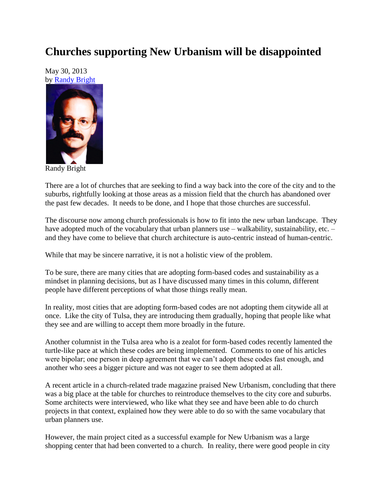## **Churches supporting New Urbanism will be disappointed**

May 30, 2013 by [Randy Bright](http://tulsabeacon.com/writers/randy-bright/)



Randy Bright

There are a lot of churches that are seeking to find a way back into the core of the city and to the suburbs, rightfully looking at those areas as a mission field that the church has abandoned over the past few decades. It needs to be done, and I hope that those churches are successful.

The discourse now among church professionals is how to fit into the new urban landscape. They have adopted much of the vocabulary that urban planners use – walkability, sustainability, etc. – and they have come to believe that church architecture is auto-centric instead of human-centric.

While that may be sincere narrative, it is not a holistic view of the problem.

To be sure, there are many cities that are adopting form-based codes and sustainability as a mindset in planning decisions, but as I have discussed many times in this column, different people have different perceptions of what those things really mean.

In reality, most cities that are adopting form-based codes are not adopting them citywide all at once. Like the city of Tulsa, they are introducing them gradually, hoping that people like what they see and are willing to accept them more broadly in the future.

Another columnist in the Tulsa area who is a zealot for form-based codes recently lamented the turtle-like pace at which these codes are being implemented. Comments to one of his articles were bipolar; one person in deep agreement that we can't adopt these codes fast enough, and another who sees a bigger picture and was not eager to see them adopted at all.

A recent article in a church-related trade magazine praised New Urbanism, concluding that there was a big place at the table for churches to reintroduce themselves to the city core and suburbs. Some architects were interviewed, who like what they see and have been able to do church projects in that context, explained how they were able to do so with the same vocabulary that urban planners use.

However, the main project cited as a successful example for New Urbanism was a large shopping center that had been converted to a church. In reality, there were good people in city